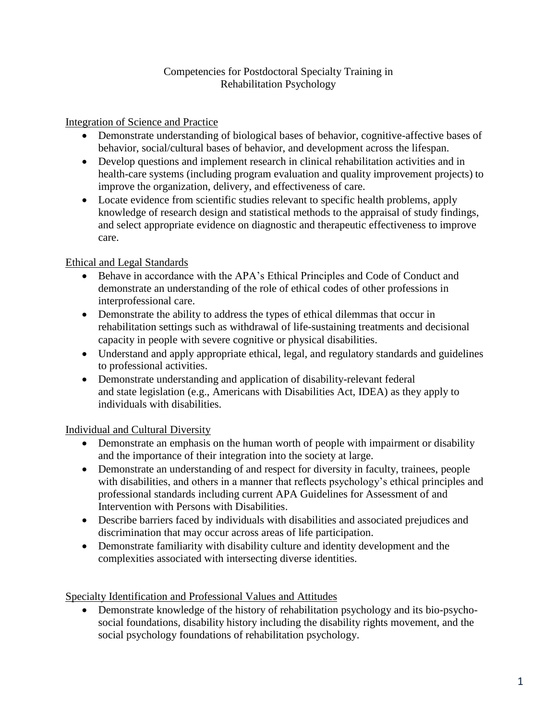### Competencies for Postdoctoral Specialty Training in Rehabilitation Psychology

Integration of Science and Practice

- Demonstrate understanding of biological bases of behavior, cognitive-affective bases of behavior, social/cultural bases of behavior, and development across the lifespan.
- Develop questions and implement research in clinical rehabilitation activities and in health-care systems (including program evaluation and quality improvement projects) to improve the organization, delivery, and effectiveness of care.
- Locate evidence from scientific studies relevant to specific health problems, apply knowledge of research design and statistical methods to the appraisal of study findings, and select appropriate evidence on diagnostic and therapeutic effectiveness to improve care.

## Ethical and Legal Standards

- Behave in accordance with the APA's Ethical Principles and Code of Conduct and demonstrate an understanding of the role of ethical codes of other professions in interprofessional care.
- Demonstrate the ability to address the types of ethical dilemmas that occur in rehabilitation settings such as withdrawal of life-sustaining treatments and decisional capacity in people with severe cognitive or physical disabilities.
- Understand and apply appropriate ethical, legal, and regulatory standards and guidelines to professional activities.
- Demonstrate understanding and application of disability-relevant federal and state legislation (e.g., Americans with Disabilities Act, IDEA) as they apply to individuals with disabilities.

# Individual and Cultural Diversity

- Demonstrate an emphasis on the human worth of people with impairment or disability and the importance of their integration into the society at large.
- Demonstrate an understanding of and respect for diversity in faculty, trainees, people with disabilities, and others in a manner that reflects psychology's ethical principles and professional standards including current APA Guidelines for Assessment of and Intervention with Persons with Disabilities.
- Describe barriers faced by individuals with disabilities and associated prejudices and discrimination that may occur across areas of life participation.
- Demonstrate familiarity with disability culture and identity development and the complexities associated with intersecting diverse identities.

Specialty Identification and Professional Values and Attitudes

 Demonstrate knowledge of the history of rehabilitation psychology and its bio-psychosocial foundations, disability history including the disability rights movement, and the social psychology foundations of rehabilitation psychology.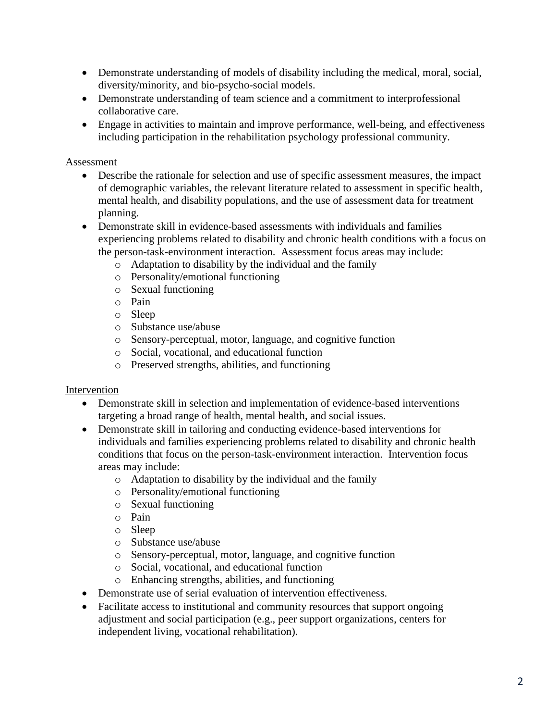- Demonstrate understanding of models of disability including the medical, moral, social, diversity/minority, and bio-psycho-social models.
- Demonstrate understanding of team science and a commitment to interprofessional collaborative care.
- Engage in activities to maintain and improve performance, well-being, and effectiveness including participation in the rehabilitation psychology professional community.

### Assessment

- Describe the rationale for selection and use of specific assessment measures, the impact of demographic variables, the relevant literature related to assessment in specific health, mental health, and disability populations, and the use of assessment data for treatment planning.
- Demonstrate skill in evidence-based assessments with individuals and families experiencing problems related to disability and chronic health conditions with a focus on the person-task-environment interaction. Assessment focus areas may include:
	- o Adaptation to disability by the individual and the family
	- o Personality/emotional functioning
	- o Sexual functioning
	- o Pain
	- o Sleep
	- o Substance use/abuse
	- o Sensory-perceptual, motor, language, and cognitive function
	- o Social, vocational, and educational function
	- o Preserved strengths, abilities, and functioning

#### Intervention

- Demonstrate skill in selection and implementation of evidence-based interventions targeting a broad range of health, mental health, and social issues.
- Demonstrate skill in tailoring and conducting evidence-based interventions for individuals and families experiencing problems related to disability and chronic health conditions that focus on the person-task-environment interaction. Intervention focus areas may include:
	- o Adaptation to disability by the individual and the family
	- o Personality/emotional functioning
	- o Sexual functioning
	- o Pain
	- o Sleep
	- o Substance use/abuse
	- o Sensory-perceptual, motor, language, and cognitive function
	- o Social, vocational, and educational function
	- o Enhancing strengths, abilities, and functioning
- Demonstrate use of serial evaluation of intervention effectiveness.
- Facilitate access to institutional and community resources that support ongoing adjustment and social participation (e.g., peer support organizations, centers for independent living, vocational rehabilitation).